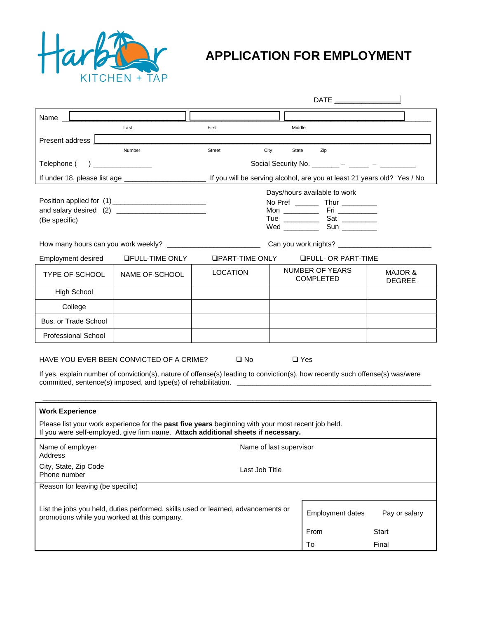

## **APPLICATION FOR EMPLOYMENT**

| Name L                                                                                                                                                                                  |                                                                                                                                   |                         |               |                                                                        |                          |  |  |
|-----------------------------------------------------------------------------------------------------------------------------------------------------------------------------------------|-----------------------------------------------------------------------------------------------------------------------------------|-------------------------|---------------|------------------------------------------------------------------------|--------------------------|--|--|
|                                                                                                                                                                                         | Last                                                                                                                              | First                   | Middle        |                                                                        |                          |  |  |
| Present address <b>L</b>                                                                                                                                                                |                                                                                                                                   |                         |               |                                                                        |                          |  |  |
|                                                                                                                                                                                         | Number                                                                                                                            | Street<br>City          | State         | Zip                                                                    |                          |  |  |
| Social Security No. $\frac{1}{2}$ - $\frac{1}{2}$ - $\frac{1}{2}$ - $\frac{1}{2}$                                                                                                       |                                                                                                                                   |                         |               |                                                                        |                          |  |  |
| If you will be serving alcohol, are you at least 21 years old? Yes / No                                                                                                                 |                                                                                                                                   |                         |               |                                                                        |                          |  |  |
| Position applied for (1) ___________________________                                                                                                                                    |                                                                                                                                   |                         |               | Days/hours available to work<br>No Pref ____________ Thur ____________ |                          |  |  |
|                                                                                                                                                                                         |                                                                                                                                   |                         |               |                                                                        |                          |  |  |
| (Be specific)                                                                                                                                                                           |                                                                                                                                   |                         |               |                                                                        |                          |  |  |
|                                                                                                                                                                                         |                                                                                                                                   |                         |               |                                                                        |                          |  |  |
| Employment desired                                                                                                                                                                      | <b>QFULL-TIME ONLY</b>                                                                                                            | $\Box$ PART-TIME ONLY   |               | <b>OFULL- OR PART-TIME</b>                                             |                          |  |  |
| <b>TYPE OF SCHOOL</b>                                                                                                                                                                   | NAME OF SCHOOL                                                                                                                    | <b>LOCATION</b>         |               | NUMBER OF YEARS<br><b>COMPLETED</b>                                    | MAJOR &<br><b>DEGREE</b> |  |  |
| <b>High School</b>                                                                                                                                                                      |                                                                                                                                   |                         |               |                                                                        |                          |  |  |
| College                                                                                                                                                                                 |                                                                                                                                   |                         |               |                                                                        |                          |  |  |
| Bus. or Trade School                                                                                                                                                                    |                                                                                                                                   |                         |               |                                                                        |                          |  |  |
| Professional School                                                                                                                                                                     |                                                                                                                                   |                         |               |                                                                        |                          |  |  |
| $\square$ No<br>HAVE YOU EVER BEEN CONVICTED OF A CRIME?<br>$\Box$ Yes                                                                                                                  |                                                                                                                                   |                         |               |                                                                        |                          |  |  |
| If yes, explain number of conviction(s), nature of offense(s) leading to conviction(s), how recently such offense(s) was/were                                                           |                                                                                                                                   |                         |               |                                                                        |                          |  |  |
|                                                                                                                                                                                         |                                                                                                                                   |                         |               |                                                                        |                          |  |  |
|                                                                                                                                                                                         |                                                                                                                                   |                         |               |                                                                        |                          |  |  |
| <b>Work Experience</b>                                                                                                                                                                  |                                                                                                                                   |                         |               |                                                                        |                          |  |  |
| Please list your work experience for the past five years beginning with your most recent job held.<br>If you were self-employed, give firm name. Attach additional sheets if necessary. |                                                                                                                                   |                         |               |                                                                        |                          |  |  |
| Name of employer<br><b>Address</b>                                                                                                                                                      | Name of last supervisor                                                                                                           |                         |               |                                                                        |                          |  |  |
| City, State, Zip Code<br>Phone number                                                                                                                                                   | Last Job Title                                                                                                                    |                         |               |                                                                        |                          |  |  |
| Reason for leaving (be specific)                                                                                                                                                        |                                                                                                                                   |                         |               |                                                                        |                          |  |  |
|                                                                                                                                                                                         | List the jobs you held, duties performed, skills used or learned, advancements or<br>promotions while you worked at this company. | <b>Employment dates</b> | Pay or salary |                                                                        |                          |  |  |
|                                                                                                                                                                                         |                                                                                                                                   |                         |               | From                                                                   | Start                    |  |  |
|                                                                                                                                                                                         |                                                                                                                                   |                         |               | To                                                                     | Final                    |  |  |